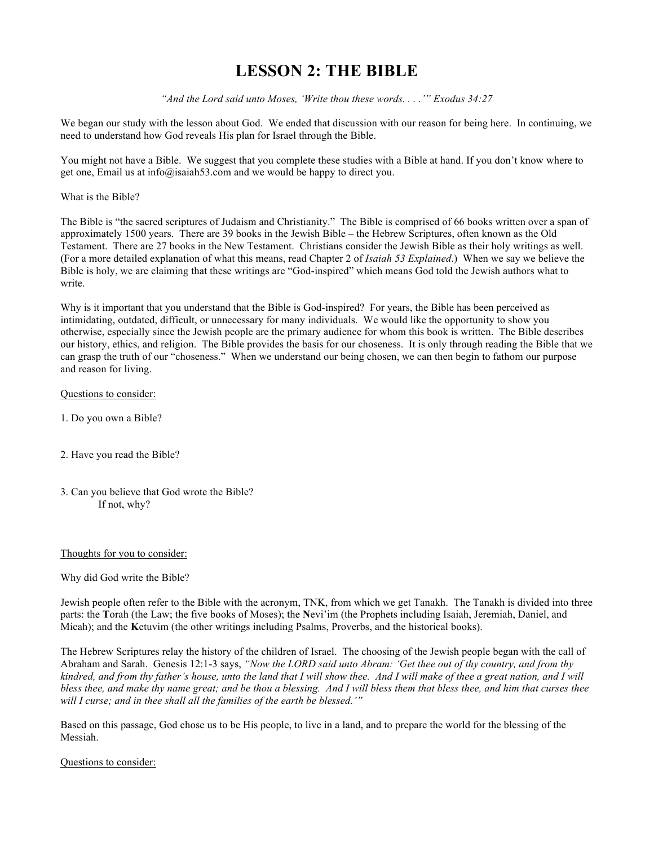# **LESSON 2: THE BIBLE**

*"And the Lord said unto Moses, 'Write thou these words. . . .'" Exodus 34:27*

We began our study with the lesson about God. We ended that discussion with our reason for being here. In continuing, we need to understand how God reveals His plan for Israel through the Bible.

You might not have a Bible. We suggest that you complete these studies with a Bible at hand. If you don't know where to get one, Email us at info@isaiah53.com and we would be happy to direct you.

What is the Bible?

The Bible is "the sacred scriptures of Judaism and Christianity." The Bible is comprised of 66 books written over a span of approximately 1500 years. There are 39 books in the Jewish Bible – the Hebrew Scriptures, often known as the Old Testament. There are 27 books in the New Testament. Christians consider the Jewish Bible as their holy writings as well. (For a more detailed explanation of what this means, read Chapter 2 of *Isaiah 53 Explained*.) When we say we believe the Bible is holy, we are claiming that these writings are "God-inspired" which means God told the Jewish authors what to write.

Why is it important that you understand that the Bible is God-inspired? For years, the Bible has been perceived as intimidating, outdated, difficult, or unnecessary for many individuals. We would like the opportunity to show you otherwise, especially since the Jewish people are the primary audience for whom this book is written. The Bible describes our history, ethics, and religion. The Bible provides the basis for our choseness. It is only through reading the Bible that we can grasp the truth of our "choseness." When we understand our being chosen, we can then begin to fathom our purpose and reason for living.

## Questions to consider:

- 1. Do you own a Bible?
- 2. Have you read the Bible?
- 3. Can you believe that God wrote the Bible? If not, why?

#### Thoughts for you to consider:

Why did God write the Bible?

Jewish people often refer to the Bible with the acronym, TNK, from which we get Tanakh. The Tanakh is divided into three parts: the **T**orah (the Law; the five books of Moses); the **N**evi'im (the Prophets including Isaiah, Jeremiah, Daniel, and Micah); and the **K**etuvim (the other writings including Psalms, Proverbs, and the historical books).

The Hebrew Scriptures relay the history of the children of Israel. The choosing of the Jewish people began with the call of Abraham and Sarah. Genesis 12:1-3 says, *"Now the LORD said unto Abram: 'Get thee out of thy country, and from thy kindred, and from thy father's house, unto the land that I will show thee. And I will make of thee a great nation, and I will bless thee, and make thy name great; and be thou a blessing. And I will bless them that bless thee, and him that curses thee will I curse; and in thee shall all the families of the earth be blessed.'"*

Based on this passage, God chose us to be His people, to live in a land, and to prepare the world for the blessing of the Messiah.

#### Questions to consider: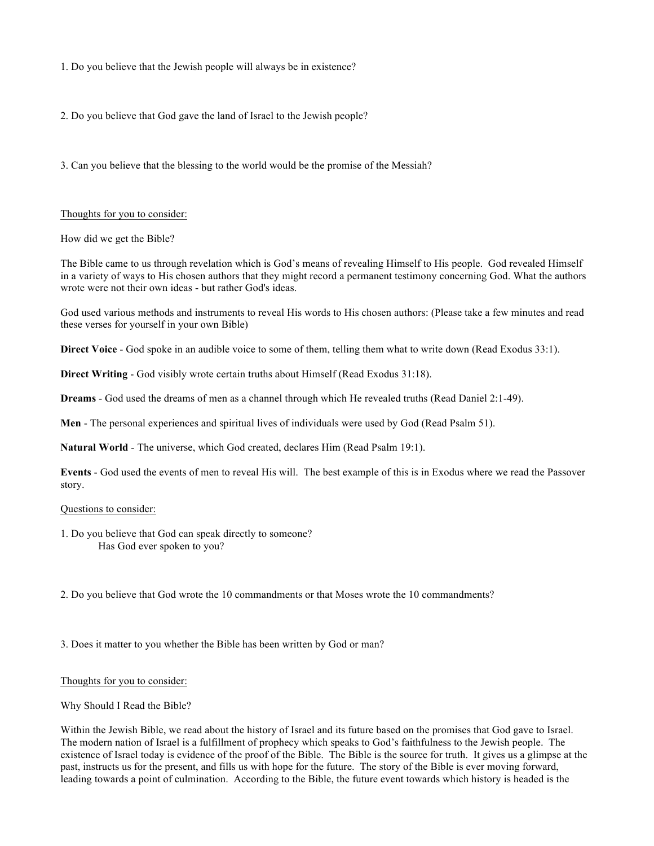1. Do you believe that the Jewish people will always be in existence?

2. Do you believe that God gave the land of Israel to the Jewish people?

3. Can you believe that the blessing to the world would be the promise of the Messiah?

## Thoughts for you to consider:

How did we get the Bible?

The Bible came to us through revelation which is God's means of revealing Himself to His people. God revealed Himself in a variety of ways to His chosen authors that they might record a permanent testimony concerning God. What the authors wrote were not their own ideas - but rather God's ideas.

God used various methods and instruments to reveal His words to His chosen authors: (Please take a few minutes and read these verses for yourself in your own Bible)

**Direct Voice** - God spoke in an audible voice to some of them, telling them what to write down (Read Exodus 33:1).

**Direct Writing** - God visibly wrote certain truths about Himself (Read Exodus 31:18).

**Dreams** - God used the dreams of men as a channel through which He revealed truths (Read Daniel 2:1-49).

**Men** - The personal experiences and spiritual lives of individuals were used by God (Read Psalm 51).

**Natural World** - The universe, which God created, declares Him (Read Psalm 19:1).

**Events** - God used the events of men to reveal His will. The best example of this is in Exodus where we read the Passover story.

#### Questions to consider:

1. Do you believe that God can speak directly to someone? Has God ever spoken to you?

2. Do you believe that God wrote the 10 commandments or that Moses wrote the 10 commandments?

3. Does it matter to you whether the Bible has been written by God or man?

#### Thoughts for you to consider:

# Why Should I Read the Bible?

Within the Jewish Bible, we read about the history of Israel and its future based on the promises that God gave to Israel. The modern nation of Israel is a fulfillment of prophecy which speaks to God's faithfulness to the Jewish people. The existence of Israel today is evidence of the proof of the Bible. The Bible is the source for truth. It gives us a glimpse at the past, instructs us for the present, and fills us with hope for the future. The story of the Bible is ever moving forward, leading towards a point of culmination. According to the Bible, the future event towards which history is headed is the